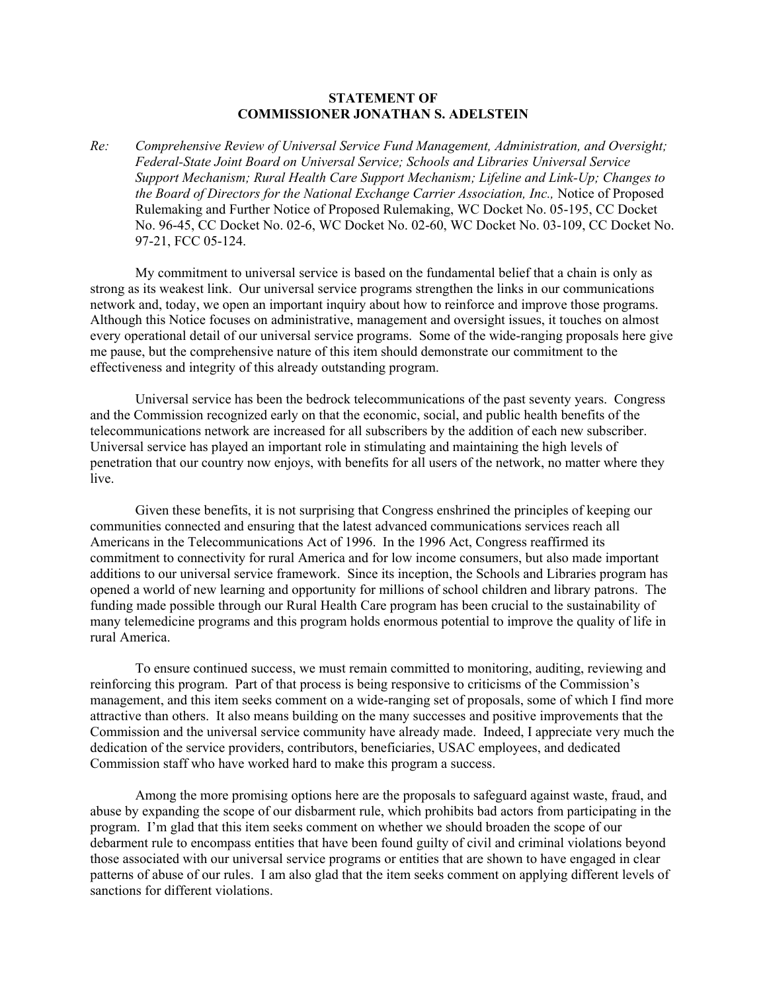## **STATEMENT OF COMMISSIONER JONATHAN S. ADELSTEIN**

*Re: Comprehensive Review of Universal Service Fund Management, Administration, and Oversight; Federal-State Joint Board on Universal Service; Schools and Libraries Universal Service Support Mechanism; Rural Health Care Support Mechanism; Lifeline and Link-Up; Changes to the Board of Directors for the National Exchange Carrier Association, Inc.,* Notice of Proposed Rulemaking and Further Notice of Proposed Rulemaking, WC Docket No. 05-195, CC Docket No. 96-45, CC Docket No. 02-6, WC Docket No. 02-60, WC Docket No. 03-109, CC Docket No. 97-21, FCC 05-124.

My commitment to universal service is based on the fundamental belief that a chain is only as strong as its weakest link. Our universal service programs strengthen the links in our communications network and, today, we open an important inquiry about how to reinforce and improve those programs. Although this Notice focuses on administrative, management and oversight issues, it touches on almost every operational detail of our universal service programs. Some of the wide-ranging proposals here give me pause, but the comprehensive nature of this item should demonstrate our commitment to the effectiveness and integrity of this already outstanding program.

Universal service has been the bedrock telecommunications of the past seventy years. Congress and the Commission recognized early on that the economic, social, and public health benefits of the telecommunications network are increased for all subscribers by the addition of each new subscriber. Universal service has played an important role in stimulating and maintaining the high levels of penetration that our country now enjoys, with benefits for all users of the network, no matter where they live.

Given these benefits, it is not surprising that Congress enshrined the principles of keeping our communities connected and ensuring that the latest advanced communications services reach all Americans in the Telecommunications Act of 1996. In the 1996 Act, Congress reaffirmed its commitment to connectivity for rural America and for low income consumers, but also made important additions to our universal service framework. Since its inception, the Schools and Libraries program has opened a world of new learning and opportunity for millions of school children and library patrons. The funding made possible through our Rural Health Care program has been crucial to the sustainability of many telemedicine programs and this program holds enormous potential to improve the quality of life in rural America.

To ensure continued success, we must remain committed to monitoring, auditing, reviewing and reinforcing this program. Part of that process is being responsive to criticisms of the Commission's management, and this item seeks comment on a wide-ranging set of proposals, some of which I find more attractive than others. It also means building on the many successes and positive improvements that the Commission and the universal service community have already made. Indeed, I appreciate very much the dedication of the service providers, contributors, beneficiaries, USAC employees, and dedicated Commission staff who have worked hard to make this program a success.

Among the more promising options here are the proposals to safeguard against waste, fraud, and abuse by expanding the scope of our disbarment rule, which prohibits bad actors from participating in the program. I'm glad that this item seeks comment on whether we should broaden the scope of our debarment rule to encompass entities that have been found guilty of civil and criminal violations beyond those associated with our universal service programs or entities that are shown to have engaged in clear patterns of abuse of our rules. I am also glad that the item seeks comment on applying different levels of sanctions for different violations.